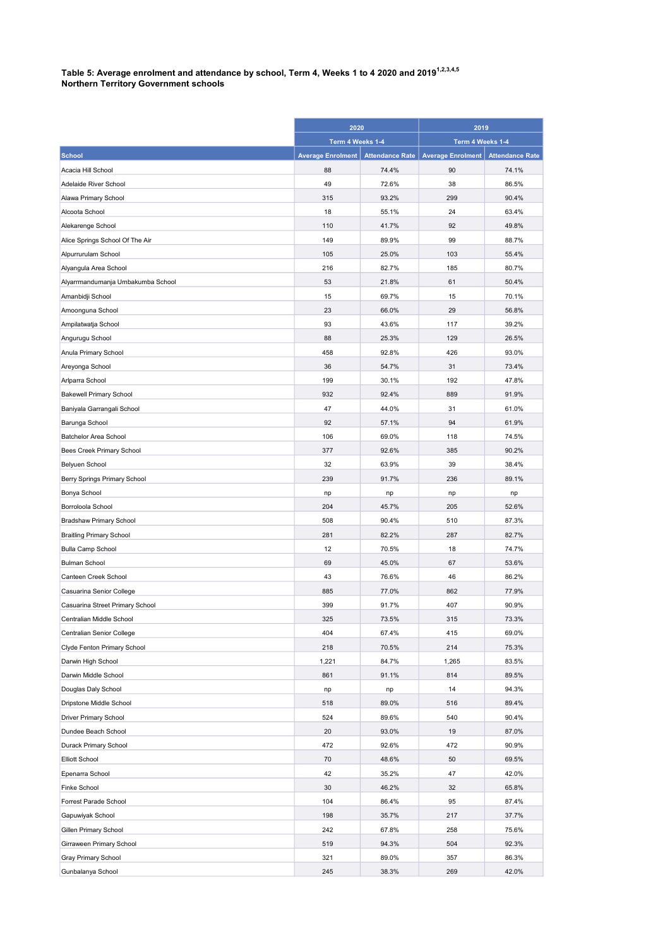## Table 5: Average enrolment and attendance by school, Term 4, Weeks 1 to 4 2020 and 2019 $^{\rm 1.2,3.4,5}$ Northern Territory Government schools

|                                   | 2020<br>Term 4 Weeks 1-4 |                        | 2019<br>Term 4 Weeks 1-4 |                        |
|-----------------------------------|--------------------------|------------------------|--------------------------|------------------------|
|                                   |                          |                        |                          |                        |
| <b>School</b>                     | <b>Average Enrolment</b> | <b>Attendance Rate</b> | <b>Average Enrolment</b> | <b>Attendance Rate</b> |
| Acacia Hill School                | 88                       | 74.4%                  | 90                       | 74.1%                  |
| Adelaide River School             | 49                       | 72.6%                  | 38                       | 86.5%                  |
| Alawa Primary School              | 315                      | 93.2%                  | 299                      | 90.4%                  |
| Alcoota School                    | 18                       | 55.1%                  | 24                       | 63.4%                  |
| Alekarenge School                 | 110                      | 41.7%                  | 92                       | 49.8%                  |
| Alice Springs School Of The Air   | 149                      | 89.9%                  | 99                       | 88.7%                  |
| Alpurrurulam School               | 105                      | 25.0%                  | 103                      | 55.4%                  |
| Alyangula Area School             | 216                      | 82.7%                  | 185                      | 80.7%                  |
| Alyarrmandumanja Umbakumba School | 53                       | 21.8%                  | 61                       | 50.4%                  |
| Amanbidji School                  | 15                       | 69.7%                  | 15                       | 70.1%                  |
| Amoonguna School                  | 23                       | 66.0%                  | 29                       | 56.8%                  |
| Ampilatwatja School               | 93                       | 43.6%                  | 117                      | 39.2%                  |
| Angurugu School                   | 88                       | 25.3%                  | 129                      | 26.5%                  |
| Anula Primary School              | 458                      | 92.8%                  | 426                      | 93.0%                  |
| Areyonga School                   | 36                       | 54.7%                  | 31                       | 73.4%                  |
| Arlparra School                   | 199                      | 30.1%                  | 192                      | 47.8%                  |
| <b>Bakewell Primary School</b>    | 932                      | 92.4%                  | 889                      | 91.9%                  |
| Baniyala Garrangali School        | 47                       | 44.0%                  | 31                       | 61.0%                  |
| Barunga School                    | 92                       | 57.1%                  | 94                       | 61.9%                  |
| Batchelor Area School             | 106                      | 69.0%                  | 118                      | 74.5%                  |
| Bees Creek Primary School         | 377                      | 92.6%                  | 385                      | 90.2%                  |
| Belyuen School                    | 32                       | 63.9%                  | 39                       | 38.4%                  |
| Berry Springs Primary School      | 239                      | 91.7%                  | 236                      | 89.1%                  |
| Bonya School                      | np                       | np                     | np                       | np                     |
| Borroloola School                 | 204                      | 45.7%                  | 205                      | 52.6%                  |
| Bradshaw Primary School           | 508                      | 90.4%                  | 510                      | 87.3%                  |
| <b>Braitling Primary School</b>   | 281                      | 82.2%                  | 287                      | 82.7%                  |
| <b>Bulla Camp School</b>          | 12                       | 70.5%                  | 18                       | 74.7%                  |
| <b>Bulman School</b>              | 69                       | 45.0%                  | 67                       | 53.6%                  |
| Canteen Creek School              | 43                       | 76.6%                  | 46                       | 86.2%                  |
| Casuarina Senior College          | 885                      | 77.0%                  | 862                      | 77.9%                  |
| Casuarina Street Primary School   | 399                      | 91.7%                  | 407                      | 90.9%                  |
| Centralian Middle School          | 325                      | 73.5%                  | 315                      | 73.3%                  |
| Centralian Senior College         | 404                      | 67.4%                  | 415                      | 69.0%                  |
| Clyde Fenton Primary School       | 218                      | 70.5%                  | 214                      | 75.3%                  |
| Darwin High School                | 1,221                    | 84.7%                  | 1,265                    | 83.5%                  |
| Darwin Middle School              | 861                      | 91.1%                  | 814                      | 89.5%                  |
| Douglas Daly School               | np                       | np                     | 14                       | 94.3%                  |
| Dripstone Middle School           | 518                      | 89.0%                  | 516                      | 89.4%                  |
| Driver Primary School             | 524                      | 89.6%                  | 540                      | 90.4%                  |
| Dundee Beach School               | 20                       | 93.0%                  | 19                       | 87.0%                  |
| Durack Primary School             | 472                      | 92.6%                  | 472                      | 90.9%                  |
| <b>Elliott School</b>             | 70                       | 48.6%                  | 50                       | 69.5%                  |
| Epenarra School                   | 42                       | 35.2%                  | 47                       | 42.0%                  |
| Finke School                      | 30                       | 46.2%                  | 32                       | 65.8%                  |
| Forrest Parade School             | 104                      | 86.4%                  | 95                       | 87.4%                  |
| Gapuwiyak School                  | 198                      | 35.7%                  | 217                      | 37.7%                  |
| Gillen Primary School             | 242                      | 67.8%                  | 258                      | 75.6%                  |
| Girraween Primary School          | 519                      | 94.3%                  | 504                      | 92.3%                  |
| Gray Primary School               | 321                      | 89.0%                  | 357                      | 86.3%                  |
| Gunbalanya School                 | 245                      | 38.3%                  | 269                      | 42.0%                  |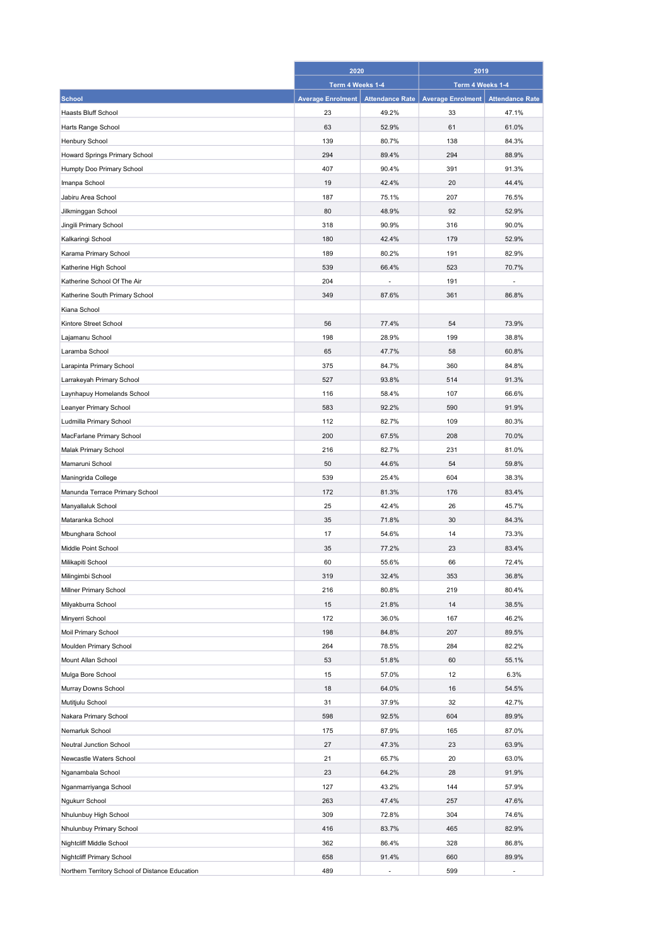|                                                 | 2020<br>Term 4 Weeks 1-4 |                        | 2019<br>Term 4 Weeks 1-4 |                        |
|-------------------------------------------------|--------------------------|------------------------|--------------------------|------------------------|
|                                                 |                          |                        |                          |                        |
| <b>School</b>                                   | <b>Average Enrolment</b> | <b>Attendance Rate</b> | <b>Average Enrolment</b> | <b>Attendance Rate</b> |
| Haasts Bluff School                             | 23                       | 49.2%                  | 33                       | 47.1%                  |
| Harts Range School                              | 63                       | 52.9%                  | 61                       | 61.0%                  |
| Henbury School                                  | 139                      | 80.7%                  | 138                      | 84.3%                  |
| Howard Springs Primary School                   | 294                      | 89.4%                  | 294                      | 88.9%                  |
| Humpty Doo Primary School                       | 407                      | 90.4%                  | 391                      | 91.3%                  |
| Imanpa School                                   | 19                       | 42.4%                  | 20                       | 44.4%                  |
| Jabiru Area School                              | 187                      | 75.1%                  | 207                      | 76.5%                  |
| Jilkminggan School                              | 80                       | 48.9%                  | 92                       | 52.9%                  |
| Jingili Primary School                          | 318                      | 90.9%                  | 316                      | 90.0%                  |
| Kalkaringi School                               | 180                      | 42.4%                  | 179                      | 52.9%                  |
| Karama Primary School                           | 189                      | 80.2%                  | 191                      | 82.9%                  |
| Katherine High School                           | 539                      | 66.4%                  | 523                      | 70.7%                  |
| Katherine School Of The Air                     | 204                      |                        | 191                      |                        |
| Katherine South Primary School                  | 349                      | 87.6%                  | 361                      | 86.8%                  |
| Kiana School                                    |                          |                        |                          |                        |
| Kintore Street School                           | 56                       | 77.4%                  | 54                       | 73.9%                  |
| Lajamanu School                                 | 198                      | 28.9%                  | 199                      | 38.8%                  |
| Laramba School                                  | 65                       | 47.7%                  | 58                       | 60.8%                  |
| Larapinta Primary School                        | 375                      | 84.7%                  | 360                      | 84.8%                  |
| Larrakeyah Primary School                       | 527                      | 93.8%                  | 514                      | 91.3%                  |
|                                                 |                          |                        |                          |                        |
| Laynhapuy Homelands School                      | 116                      | 58.4%                  | 107                      | 66.6%                  |
| Leanyer Primary School                          | 583                      | 92.2%                  | 590                      | 91.9%                  |
| Ludmilla Primary School                         | 112                      | 82.7%                  | 109                      | 80.3%                  |
| MacFarlane Primary School                       | 200                      | 67.5%                  | 208                      | 70.0%                  |
| Malak Primary School                            | 216                      | 82.7%                  | 231                      | 81.0%                  |
| Mamaruni School                                 | 50                       | 44.6%                  | 54                       | 59.8%                  |
| Maningrida College                              | 539                      | 25.4%                  | 604                      | 38.3%                  |
| Manunda Terrace Primary School                  | 172                      | 81.3%                  | 176                      | 83.4%                  |
| Manyallaluk School                              | 25                       | 42.4%                  | 26                       | 45.7%                  |
| Mataranka School                                | 35                       | 71.8%                  | 30                       | 84.3%                  |
| Mbunghara School                                | 17                       | 54.6%                  | 14                       | 73.3%                  |
| Middle Point School                             | 35                       | 77.2%                  | 23                       | 83.4%                  |
| Milikapiti School                               | 60                       | 55.6%                  | 66                       | 72.4%                  |
| Milingimbi School                               | 319                      | 32.4%                  | 353                      | 36.8%                  |
| Millner Primary School                          | 216                      | 80.8%                  | 219                      | 80.4%                  |
| Milyakburra School                              | 15                       | 21.8%                  | 14                       | 38.5%                  |
| Minyerri School                                 | 172                      | 36.0%                  | 167                      | 46.2%                  |
| Moil Primary School                             | 198                      | 84.8%                  | 207                      | 89.5%                  |
| Moulden Primary School                          | 264                      | 78.5%                  | 284                      | 82.2%                  |
| Mount Allan School                              | 53                       | 51.8%                  | 60                       | 55.1%                  |
| Mulga Bore School                               | 15                       | 57.0%                  | 12                       | 6.3%                   |
| Murray Downs School                             | 18                       | 64.0%                  | 16                       | 54.5%                  |
| Mutitjulu School                                | 31                       | 37.9%                  | 32                       | 42.7%                  |
| Nakara Primary School                           | 598                      | 92.5%                  | 604                      | 89.9%                  |
| Nemarluk School                                 | 175                      | 87.9%                  | 165                      | 87.0%                  |
| Neutral Junction School                         | 27                       | 47.3%                  | 23                       | 63.9%                  |
| Newcastle Waters School                         | 21                       | 65.7%                  | 20                       | 63.0%                  |
| Nganambala School                               | 23                       | 64.2%                  | 28                       | 91.9%                  |
| Nganmarriyanga School                           | 127                      | 43.2%                  | 144                      | 57.9%                  |
| Ngukurr School                                  | 263                      | 47.4%                  | 257                      | 47.6%                  |
| Nhulunbuy High School                           | 309                      | 72.8%                  | 304                      | 74.6%                  |
| Nhulunbuy Primary School                        | 416                      | 83.7%                  | 465                      | 82.9%                  |
| Nightcliff Middle School                        | 362                      | 86.4%                  | 328                      | 86.8%                  |
| Nightcliff Primary School                       | 658                      | 91.4%                  | 660                      | 89.9%                  |
| Northern Territory School of Distance Education | 489                      | Ĭ.                     | 599                      | ÷,                     |